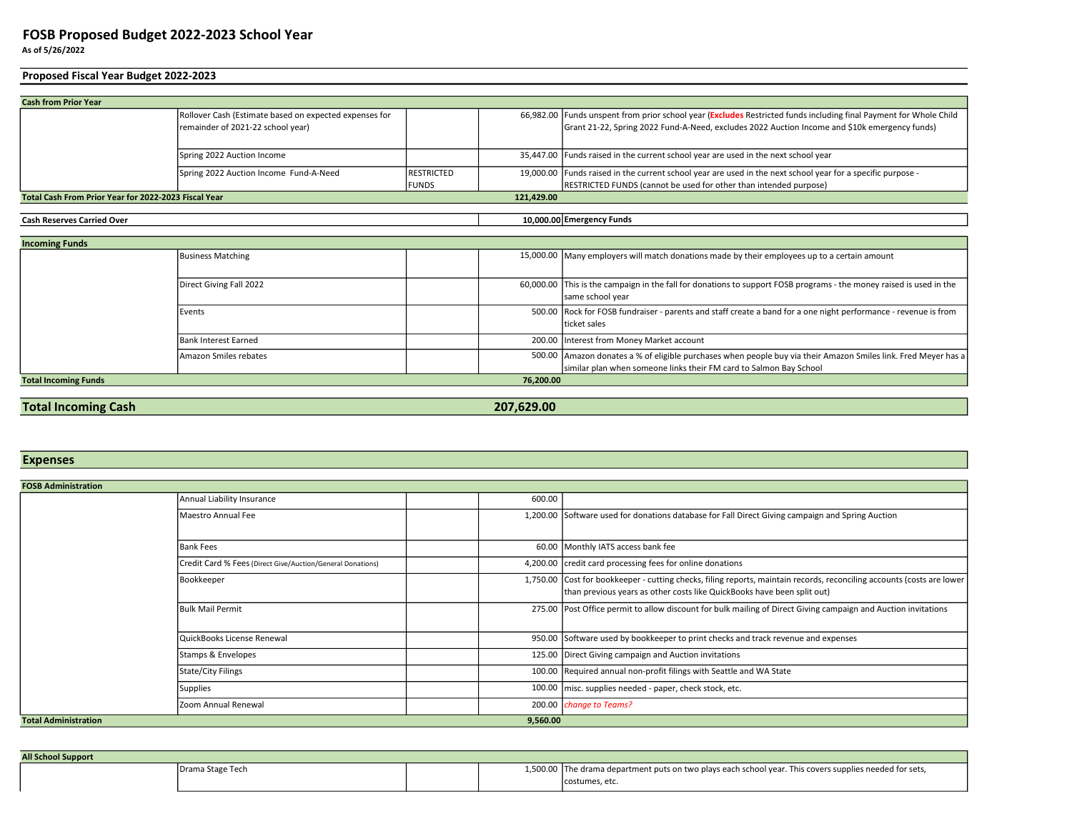## As of 5/26/2022 FOSB Proposed Budget 2022-2023 School Year

## Proposed Fiscal Year Budget 2022-2023

| <b>Cash from Prior Year</b>                          |                                                        |                   |            |                                                                                                                     |
|------------------------------------------------------|--------------------------------------------------------|-------------------|------------|---------------------------------------------------------------------------------------------------------------------|
|                                                      | Rollover Cash (Estimate based on expected expenses for |                   |            | 66,982.00   Funds unspent from prior school year (Excludes Restricted funds including final Payment for Whole Child |
|                                                      | remainder of 2021-22 school year)                      |                   |            | Grant 21-22, Spring 2022 Fund-A-Need, excludes 2022 Auction Income and \$10k emergency funds)                       |
|                                                      |                                                        |                   |            |                                                                                                                     |
|                                                      | Spring 2022 Auction Income                             |                   |            | 35,447.00 Funds raised in the current school year are used in the next school year                                  |
|                                                      | Spring 2022 Auction Income Fund-A-Need                 | <b>RESTRICTED</b> |            | 19,000.00 Funds raised in the current school year are used in the next school year for a specific purpose -         |
|                                                      |                                                        | <b>IFUNDS</b>     |            | RESTRICTED FUNDS (cannot be used for other than intended purpose)                                                   |
| Total Cash From Prior Year for 2022-2023 Fiscal Year |                                                        |                   | 121.429.00 |                                                                                                                     |
|                                                      |                                                        |                   |            |                                                                                                                     |
| <b>Cash Reserves Carried Over</b>                    |                                                        |                   |            | 10,000.00 Emergency Funds                                                                                           |
|                                                      |                                                        |                   |            |                                                                                                                     |
| <b>Incoming Funds</b>                                |                                                        |                   |            |                                                                                                                     |
|                                                      | <b>Business Matching</b>                               |                   |            | 15,000.00 Many employers will match donations made by their employees up to a certain amount                        |
|                                                      |                                                        |                   |            |                                                                                                                     |

|                             | Direct Giving Fall 2022 |           | 60,000.00 This is the campaign in the fall for donations to support FOSB programs - the money raised is used in the |
|-----------------------------|-------------------------|-----------|---------------------------------------------------------------------------------------------------------------------|
|                             |                         |           | same school year                                                                                                    |
|                             | Events                  |           | 500.00 Rock for FOSB fundraiser - parents and staff create a band for a one night performance - revenue is from     |
|                             |                         |           | ticket sales                                                                                                        |
|                             | Bank Interest Earned    |           | 200.00 Interest from Money Market account                                                                           |
|                             | Amazon Smiles rebates   |           | 500.00 Amazon donates a % of eligible purchases when people buy via their Amazon Smiles link. Fred Meyer has a      |
|                             |                         |           | similar plan when someone links their FM card to Salmon Bay School                                                  |
| <b>Total Incoming Funds</b> |                         | 76.200.00 |                                                                                                                     |

## **Total Incoming Cash 207,629.00** 207,629.00

## **Expenses**

| <b>FOSB Administration</b>              |                                                            |  |        |                                                                                                                                                                                                   |
|-----------------------------------------|------------------------------------------------------------|--|--------|---------------------------------------------------------------------------------------------------------------------------------------------------------------------------------------------------|
|                                         | Annual Liability Insurance                                 |  | 600.00 |                                                                                                                                                                                                   |
|                                         | Maestro Annual Fee                                         |  |        | 1,200.00 Software used for donations database for Fall Direct Giving campaign and Spring Auction                                                                                                  |
|                                         |                                                            |  |        |                                                                                                                                                                                                   |
| <b>Bank Fees</b>                        |                                                            |  |        | 60.00 Monthly IATS access bank fee                                                                                                                                                                |
|                                         | Credit Card % Fees (Direct Give/Auction/General Donations) |  |        | 4,200.00   credit card processing fees for online donations                                                                                                                                       |
| Bookkeeper                              |                                                            |  |        | 1,750.00 Cost for bookkeeper - cutting checks, filing reports, maintain records, reconciling accounts (costs are lower<br>than previous years as other costs like QuickBooks have been split out) |
|                                         | Bulk Mail Permit                                           |  |        | 275.00 Post Office permit to allow discount for bulk mailing of Direct Giving campaign and Auction invitations                                                                                    |
|                                         | QuickBooks License Renewal                                 |  |        | 950.00 Software used by bookkeeper to print checks and track revenue and expenses                                                                                                                 |
|                                         | Stamps & Envelopes                                         |  |        | 125.00 Direct Giving campaign and Auction invitations                                                                                                                                             |
|                                         | <b>State/City Filings</b>                                  |  |        | 100.00 Required annual non-profit filings with Seattle and WA State                                                                                                                               |
| <b>Supplies</b>                         |                                                            |  |        | 100.00 misc. supplies needed - paper, check stock, etc.                                                                                                                                           |
|                                         | Zoom Annual Renewal                                        |  |        | 200.00 change to Teams?                                                                                                                                                                           |
| <b>Total Administration</b><br>9,560.00 |                                                            |  |        |                                                                                                                                                                                                   |

| <b>All School Support</b> |                  |  |  |                                                                                                         |  |
|---------------------------|------------------|--|--|---------------------------------------------------------------------------------------------------------|--|
|                           | Drama Stage Tech |  |  | 1,500.00 The drama department puts on two plays each school year. This covers supplies needed for sets, |  |
|                           |                  |  |  | costumes, etc.                                                                                          |  |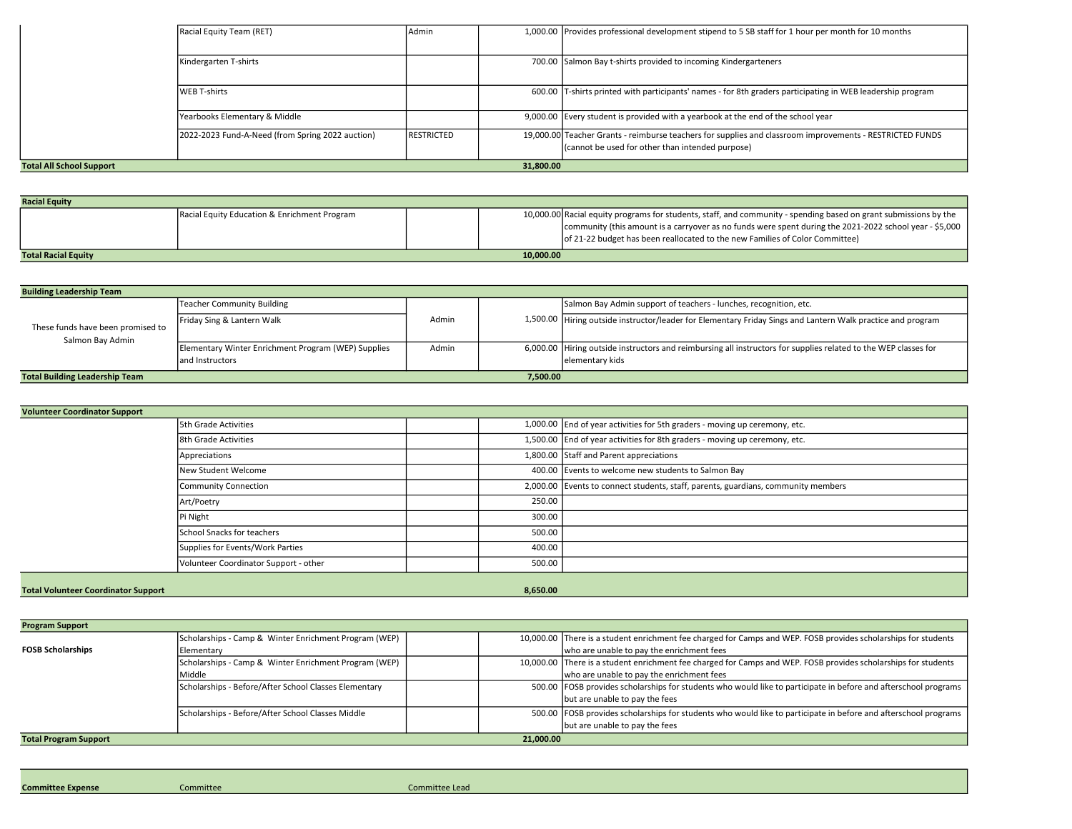|                                              | Racial Equity Team (RET)                         | Admin             |  | 1,000.00 Provides professional development stipend to 5 SB staff for 1 hour per month for 10 months                                                          |
|----------------------------------------------|--------------------------------------------------|-------------------|--|--------------------------------------------------------------------------------------------------------------------------------------------------------------|
|                                              | Kindergarten T-shirts                            |                   |  | 700.00 Salmon Bay t-shirts provided to incoming Kindergarteners                                                                                              |
|                                              |                                                  |                   |  |                                                                                                                                                              |
|                                              | WEB T-shirts                                     |                   |  | 600.00 T-shirts printed with participants' names - for 8th graders participating in WEB leadership program                                                   |
|                                              | Yearbooks Elementary & Middle                    |                   |  | 9,000.00 Every student is provided with a yearbook at the end of the school year                                                                             |
|                                              | 2022-2023 Fund-A-Need (from Spring 2022 auction) | <b>RESTRICTED</b> |  | 19,000.00 Teacher Grants - reimburse teachers for supplies and classroom improvements - RESTRICTED FUNDS<br>(cannot be used for other than intended purpose) |
| 31,800.00<br><b>Total All School Support</b> |                                                  |                   |  |                                                                                                                                                              |

| <b>Racial Equity</b>                    |                                              |  |  |                                                                                                                                                                                           |
|-----------------------------------------|----------------------------------------------|--|--|-------------------------------------------------------------------------------------------------------------------------------------------------------------------------------------------|
|                                         | Racial Equity Education & Enrichment Program |  |  | 10,000.00 Racial equity programs for students, staff, and community - spending based on grant submissions by the                                                                          |
|                                         |                                              |  |  | community (this amount is a carryover as no funds were spent during the 2021-2022 school year - \$5,000  <br>of 21-22 budget has been reallocated to the new Families of Color Committee) |
| 10.000.00<br><b>Total Racial Equity</b> |                                              |  |  |                                                                                                                                                                                           |

| <b>Building Leadership Team</b>                       |                                                     |       |          |                                                                                                                 |
|-------------------------------------------------------|-----------------------------------------------------|-------|----------|-----------------------------------------------------------------------------------------------------------------|
|                                                       | Teacher Community Building                          |       |          | Salmon Bay Admin support of teachers - lunches, recognition, etc.                                               |
| These funds have been promised to<br>Salmon Bay Admin | Friday Sing & Lantern Walk                          | Admin |          | 1,500.00 Hiring outside instructor/leader for Elementary Friday Sings and Lantern Walk practice and program     |
|                                                       | Elementary Winter Enrichment Program (WEP) Supplies | Admin |          | 6,000.00 Hiring outside instructors and reimbursing all instructors for supplies related to the WEP classes for |
|                                                       | land Instructors                                    |       |          | lelementary kids                                                                                                |
| <b>Total Building Leadership Team</b>                 |                                                     |       | 7.500.00 |                                                                                                                 |

| <b>Volunteer Coordinator Support</b>       |                                       |  |          |                                                                                   |  |
|--------------------------------------------|---------------------------------------|--|----------|-----------------------------------------------------------------------------------|--|
|                                            | 5th Grade Activities                  |  |          | 1,000.00 End of year activities for 5th graders - moving up ceremony, etc.        |  |
|                                            | 8th Grade Activities                  |  |          | 1,500.00 End of year activities for 8th graders - moving up ceremony, etc.        |  |
|                                            | Appreciations                         |  |          | 1,800.00 Staff and Parent appreciations                                           |  |
|                                            | New Student Welcome                   |  |          | 400.00 Events to welcome new students to Salmon Bay                               |  |
|                                            | <b>Community Connection</b>           |  |          | 2,000.00 Events to connect students, staff, parents, guardians, community members |  |
|                                            | Art/Poetry                            |  | 250.00   |                                                                                   |  |
|                                            | Pi Night                              |  | 300.00   |                                                                                   |  |
|                                            | School Snacks for teachers            |  | 500.00   |                                                                                   |  |
|                                            | Supplies for Events/Work Parties      |  | 400.00   |                                                                                   |  |
|                                            | Volunteer Coordinator Support - other |  | 500.00   |                                                                                   |  |
|                                            |                                       |  |          |                                                                                   |  |
| <b>Total Volunteer Coordinator Support</b> |                                       |  | 8,650.00 |                                                                                   |  |

| <b>Program Support</b>       |                                                       |           |                                                                                                                 |
|------------------------------|-------------------------------------------------------|-----------|-----------------------------------------------------------------------------------------------------------------|
|                              | Scholarships - Camp & Winter Enrichment Program (WEP) |           | 10,000.00 There is a student enrichment fee charged for Camps and WEP. FOSB provides scholarships for students  |
| <b>FOSB Scholarships</b>     | Elementary                                            |           | who are unable to pay the enrichment fees                                                                       |
|                              | Scholarships - Camp & Winter Enrichment Program (WEP) |           | 10,000.00 There is a student enrichment fee charged for Camps and WEP. FOSB provides scholarships for students  |
|                              | Middle                                                |           | who are unable to pay the enrichment fees                                                                       |
|                              | Scholarships - Before/After School Classes Elementary |           | 500.00 FOSB provides scholarships for students who would like to participate in before and afterschool programs |
|                              |                                                       |           | but are unable to pay the fees                                                                                  |
|                              | Scholarships - Before/After School Classes Middle     |           | 500.00 FOSB provides scholarships for students who would like to participate in before and afterschool programs |
|                              |                                                       |           | but are unable to pay the fees                                                                                  |
| <b>Total Program Support</b> |                                                       | 21,000.00 |                                                                                                                 |

Committee Expense Committee Committee Lead